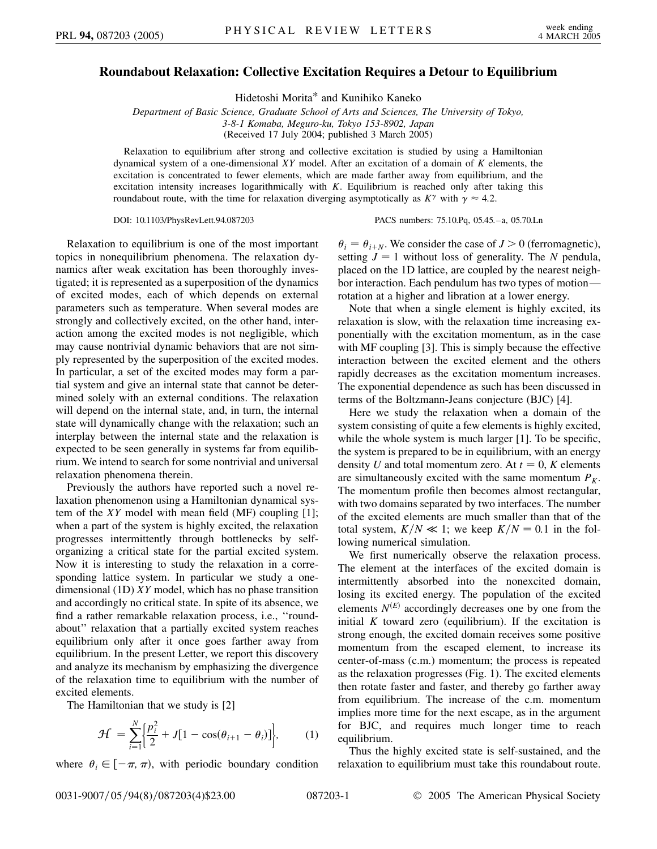## **Roundabout Relaxation: Collective Excitation Requires a Detour to Equilibrium**

Hidetoshi Morita\* and Kunihiko Kaneko

*Department of Basic Science, Graduate School of Arts and Sciences, The University of Tokyo, 3-8-1 Komaba, Meguro-ku, Tokyo 153-8902, Japan* (Received 17 July 2004; published 3 March 2005)

Relaxation to equilibrium after strong and collective excitation is studied by using a Hamiltonian dynamical system of a one-dimensional *XY* model. After an excitation of a domain of *K* elements, the excitation is concentrated to fewer elements, which are made farther away from equilibrium, and the excitation intensity increases logarithmically with *K*. Equilibrium is reached only after taking this roundabout route, with the time for relaxation diverging asymptotically as  $K^{\gamma}$  with  $\gamma \approx 4.2$ .

DOI: 10.1103/PhysRevLett.94.087203 PACS numbers: 75.10.Pq, 05.45.–a, 05.70.Ln

Relaxation to equilibrium is one of the most important topics in nonequilibrium phenomena. The relaxation dynamics after weak excitation has been thoroughly investigated; it is represented as a superposition of the dynamics of excited modes, each of which depends on external parameters such as temperature. When several modes are strongly and collectively excited, on the other hand, interaction among the excited modes is not negligible, which may cause nontrivial dynamic behaviors that are not simply represented by the superposition of the excited modes. In particular, a set of the excited modes may form a partial system and give an internal state that cannot be determined solely with an external conditions. The relaxation will depend on the internal state, and, in turn, the internal state will dynamically change with the relaxation; such an interplay between the internal state and the relaxation is expected to be seen generally in systems far from equilibrium. We intend to search for some nontrivial and universal relaxation phenomena therein.

Previously the authors have reported such a novel relaxation phenomenon using a Hamiltonian dynamical system of the *XY* model with mean field (MF) coupling [1]; when a part of the system is highly excited, the relaxation progresses intermittently through bottlenecks by selforganizing a critical state for the partial excited system. Now it is interesting to study the relaxation in a corresponding lattice system. In particular we study a onedimensional (1D) *XY* model, which has no phase transition and accordingly no critical state. In spite of its absence, we find a rather remarkable relaxation process, i.e., ''roundabout'' relaxation that a partially excited system reaches equilibrium only after it once goes farther away from equilibrium. In the present Letter, we report this discovery and analyze its mechanism by emphasizing the divergence of the relaxation time to equilibrium with the number of excited elements.

The Hamiltonian that we study is [2]

$$
\mathcal{H} = \sum_{i=1}^{N} \left\{ \frac{p_i^2}{2} + J[1 - \cos(\theta_{i+1} - \theta_i)] \right\}, \quad (1)
$$

where  $\theta_i \in [-\pi, \pi)$ , with periodic boundary condition

 $\theta_i = \theta_{i+N}$ . We consider the case of *J* > 0 (ferromagnetic), setting  $J = 1$  without loss of generality. The *N* pendula, placed on the 1D lattice, are coupled by the nearest neighbor interaction. Each pendulum has two types of motion rotation at a higher and libration at a lower energy.

Note that when a single element is highly excited, its relaxation is slow, with the relaxation time increasing exponentially with the excitation momentum, as in the case with MF coupling [3]. This is simply because the effective interaction between the excited element and the others rapidly decreases as the excitation momentum increases. The exponential dependence as such has been discussed in terms of the Boltzmann-Jeans conjecture (BJC) [4].

Here we study the relaxation when a domain of the system consisting of quite a few elements is highly excited, while the whole system is much larger [1]. To be specific, the system is prepared to be in equilibrium, with an energy density *U* and total momentum zero. At  $t = 0$ , *K* elements are simultaneously excited with the same momentum  $P_K$ . The momentum profile then becomes almost rectangular, with two domains separated by two interfaces. The number of the excited elements are much smaller than that of the total system,  $K/N \ll 1$ ; we keep  $K/N = 0.1$  in the following numerical simulation.

We first numerically observe the relaxation process. The element at the interfaces of the excited domain is intermittently absorbed into the nonexcited domain, losing its excited energy. The population of the excited elements  $N^{(E)}$  accordingly decreases one by one from the initial  $K$  toward zero (equilibrium). If the excitation is strong enough, the excited domain receives some positive momentum from the escaped element, to increase its center-of-mass (c.m.) momentum; the process is repeated as the relaxation progresses (Fig. 1). The excited elements then rotate faster and faster, and thereby go farther away from equilibrium. The increase of the c.m. momentum implies more time for the next escape, as in the argument for BJC, and requires much longer time to reach equilibrium.

Thus the highly excited state is self-sustained, and the relaxation to equilibrium must take this roundabout route.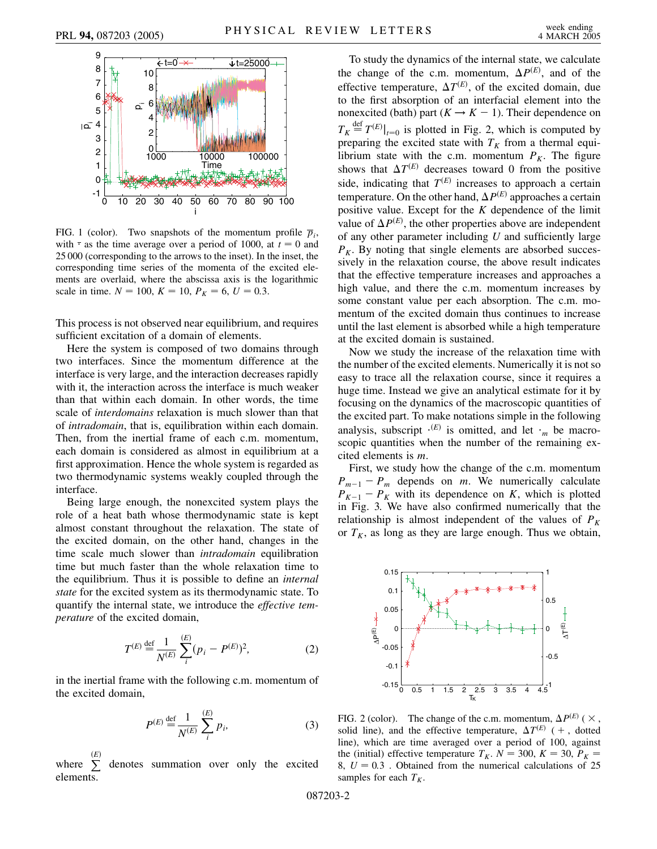

FIG. 1 (color). Two snapshots of the momentum profile  $\overline{p}_i$ , with  $\cdot$  as the time average over a period of 1000, at  $t = 0$  and 25 000 (corresponding to the arrows to the inset). In the inset, the corresponding time series of the momenta of the excited elements are overlaid, where the abscissa axis is the logarithmic scale in time.  $N = 100$ ,  $K = 10$ ,  $P_K = 6$ ,  $U = 0.3$ .

This process is not observed near equilibrium, and requires sufficient excitation of a domain of elements.

Here the system is composed of two domains through two interfaces. Since the momentum difference at the interface is very large, and the interaction decreases rapidly with it, the interaction across the interface is much weaker than that within each domain. In other words, the time scale of *interdomains* relaxation is much slower than that of *intradomain*, that is, equilibration within each domain. Then, from the inertial frame of each c.m. momentum, each domain is considered as almost in equilibrium at a first approximation. Hence the whole system is regarded as two thermodynamic systems weakly coupled through the interface.

Being large enough, the nonexcited system plays the role of a heat bath whose thermodynamic state is kept almost constant throughout the relaxation. The state of the excited domain, on the other hand, changes in the time scale much slower than *intradomain* equilibration time but much faster than the whole relaxation time to the equilibrium. Thus it is possible to define an *internal state* for the excited system as its thermodynamic state. To quantify the internal state, we introduce the *effective temperature* of the excited domain,

$$
T^{(E)} \stackrel{\text{def}}{=} \frac{1}{N^{(E)}} \sum_{i}^{(E)} (p_i - P^{(E)})^2,\tag{2}
$$

in the inertial frame with the following c.m. momentum of the excited domain,

$$
P^{(E)} \stackrel{\text{def}}{=} \frac{1}{N^{(E)}} \sum_{i}^{(E)} p_i,\tag{3}
$$

where P *E* denotes summation over only the excited elements.

To study the dynamics of the internal state, we calculate the change of the c.m. momentum,  $\Delta P^{(E)}$ , and of the effective temperature,  $\Delta T^{(E)}$ , of the excited domain, due to the first absorption of an interfacial element into the nonexcited (bath) part  $(K \rightarrow K - 1)$ . Their dependence on  $T_K \stackrel{\text{def}}{=} T^{(E)}|_{t=0}$  is plotted in Fig. 2, which is computed by preparing the excited state with  $T_K$  from a thermal equilibrium state with the c.m. momentum  $P_K$ . The figure shows that  $\Delta T^{(E)}$  decreases toward 0 from the positive side, indicating that  $T^{(E)}$  increases to approach a certain temperature. On the other hand,  $\Delta P^{(E)}$  approaches a certain positive value. Except for the *K* dependence of the limit value of  $\Delta P^{(E)}$ , the other properties above are independent of any other parameter including *U* and sufficiently large  $P_K$ . By noting that single elements are absorbed successively in the relaxation course, the above result indicates that the effective temperature increases and approaches a high value, and there the c.m. momentum increases by some constant value per each absorption. The c.m. momentum of the excited domain thus continues to increase until the last element is absorbed while a high temperature at the excited domain is sustained.

Now we study the increase of the relaxation time with the number of the excited elements. Numerically it is not so easy to trace all the relaxation course, since it requires a huge time. Instead we give an analytical estimate for it by focusing on the dynamics of the macroscopic quantities of the excited part. To make notations simple in the following analysis, subscript  $\cdot^{(E)}$  is omitted, and let  $\cdot_m$  be macroscopic quantities when the number of the remaining excited elements is *m*.

First, we study how the change of the c.m. momentum  $P_{m-1} - P_m$  depends on *m*. We numerically calculate  $P_{K-1} - P_{K}$  with its dependence on *K*, which is plotted in Fig. 3. We have also confirmed numerically that the relationship is almost independent of the values of  $P_K$ or  $T_K$ , as long as they are large enough. Thus we obtain,



FIG. 2 (color). The change of the c.m. momentum,  $\Delta P^{(E)}$  ( $\times$ , solid line), and the effective temperature,  $\Delta T^{(E)}$  ( + , dotted line), which are time averaged over a period of 100, against the (initial) effective temperature  $T_K$ .  $N = 300$ ,  $K = 30$ ,  $P_K =$  $8, U = 0.3$ . Obtained from the numerical calculations of 25 samples for each  $T_K$ .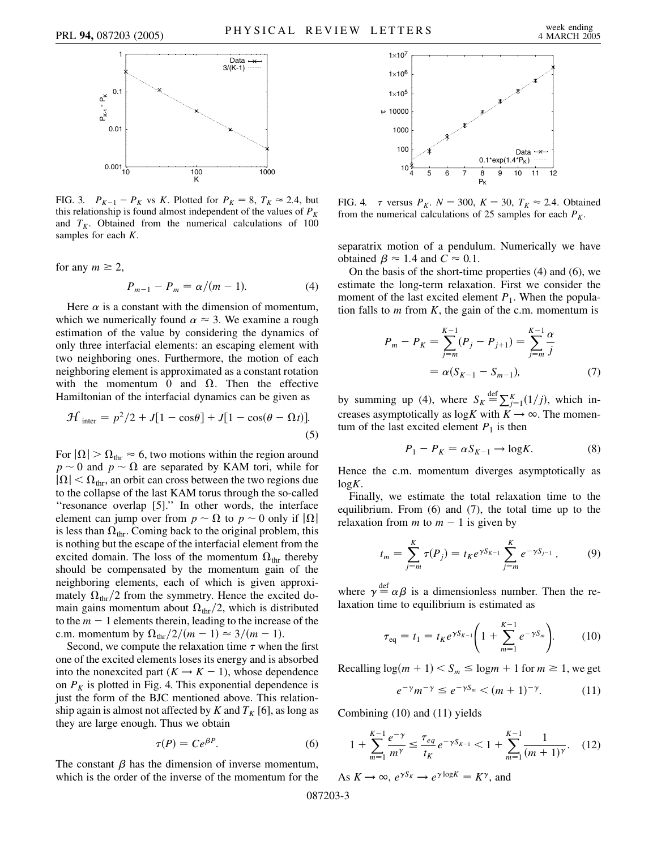

FIG. 3.  $P_{K-1} - P_K$  vs *K*. Plotted for  $P_K = 8$ ,  $T_K \approx 2.4$ , but this relationship is found almost independent of the values of  $P_K$ and  $T_K$ . Obtained from the numerical calculations of 100 samples for each *K*.

for any  $m \geq 2$ ,

$$
P_{m-1} - P_m = \alpha/(m-1). \tag{4}
$$

Here  $\alpha$  is a constant with the dimension of momentum, which we numerically found  $\alpha \approx 3$ . We examine a rough estimation of the value by considering the dynamics of only three interfacial elements: an escaping element with two neighboring ones. Furthermore, the motion of each neighboring element is approximated as a constant rotation with the momentum 0 and  $\Omega$ . Then the effective Hamiltonian of the interfacial dynamics can be given as

$$
\mathcal{H}_{\text{inter}} = p^2/2 + J[1 - \cos\theta] + J[1 - \cos(\theta - \Omega t)].
$$
\n(5)

For  $|\Omega| > \Omega_{\text{thr}} \approx 6$ , two motions within the region around  $p \sim 0$  and  $p \sim \Omega$  are separated by KAM tori, while for  $|\Omega|$  <  $\Omega_{\text{thr}}$ , an orbit can cross between the two regions due to the collapse of the last KAM torus through the so-called ''resonance overlap [5].'' In other words, the interface element can jump over from  $p \sim \Omega$  to  $p \sim 0$  only if  $|\Omega|$ is less than  $\Omega_{\text{thr}}$ . Coming back to the original problem, this is nothing but the escape of the interfacial element from the excited domain. The loss of the momentum  $\Omega_{\text{thr}}$  thereby should be compensated by the momentum gain of the neighboring elements, each of which is given approximately  $\Omega_{\text{thr}}/2$  from the symmetry. Hence the excited domain gains momentum about  $\Omega_{\text{thr}}/2$ , which is distributed to the  $m - 1$  elements therein, leading to the increase of the c.m. momentum by  $\Omega_{\text{thr}}/2/(m-1) \approx 3/(m-1)$ .

Second, we compute the relaxation time  $\tau$  when the first one of the excited elements loses its energy and is absorbed into the nonexcited part  $(K \rightarrow K - 1)$ , whose dependence on  $P<sub>K</sub>$  is plotted in Fig. 4. This exponential dependence is just the form of the BJC mentioned above. This relationship again is almost not affected by *K* and  $T_K$  [6], as long as they are large enough. Thus we obtain

$$
\tau(P) = Ce^{\beta P}.\tag{6}
$$

The constant  $\beta$  has the dimension of inverse momentum, which is the order of the inverse of the momentum for the



FIG. 4.  $\tau$  versus  $P_K$ .  $N = 300$ ,  $K = 30$ ,  $T_K \approx 2.4$ . Obtained from the numerical calculations of 25 samples for each  $P_K$ .

separatrix motion of a pendulum. Numerically we have obtained  $\beta \approx 1.4$  and  $C \approx 0.1$ .

On the basis of the short-time properties (4) and (6), we estimate the long-term relaxation. First we consider the moment of the last excited element  $P_1$ . When the population falls to *m* from *K*, the gain of the c.m. momentum is

$$
P_m - P_K = \sum_{j=m}^{K-1} (P_j - P_{j+1}) = \sum_{j=m}^{K-1} \frac{\alpha}{j}
$$
  
=  $\alpha (S_{K-1} - S_{m-1}),$  (7)

by summing up (4), where  $S_K \stackrel{\text{def}}{=} \sum_{j=1}^K (1/j)$ , which increases asymptotically as  $\log K$  with  $K \to \infty$ . The momentum of the last excited element  $P_1$  is then

$$
P_1 - P_K = \alpha S_{K-1} \to \log K. \tag{8}
$$

Hence the c.m. momentum diverges asymptotically as log*K*.

Finally, we estimate the total relaxation time to the equilibrium. From (6) and (7), the total time up to the relaxation from *m* to  $m - 1$  is given by

$$
t_m = \sum_{j=m}^{K} \tau(P_j) = t_K e^{\gamma S_{K-1}} \sum_{j=m}^{K} e^{-\gamma S_{j-1}}, \qquad (9)
$$

where  $\gamma \stackrel{\text{def}}{=} \alpha \beta$  is a dimensionless number. Then the relaxation time to equilibrium is estimated as

$$
\tau_{\text{eq}} = t_1 = t_K e^{\gamma S_{K-1}} \left( 1 + \sum_{m=1}^{K-1} e^{-\gamma S_m} \right). \tag{10}
$$

Recalling  $\log(m + 1) < S_m \leq \log m + 1$  for  $m \geq 1$ , we get

$$
e^{-\gamma}m^{-\gamma} \le e^{-\gamma S_m} < (m+1)^{-\gamma}.\tag{11}
$$

Combining (10) and (11) yields

$$
1 + \sum_{m=1}^{K-1} \frac{e^{-\gamma}}{m^{\gamma}} \le \frac{\tau_{eq}}{t_K} e^{-\gamma S_{K-1}} < 1 + \sum_{m=1}^{K-1} \frac{1}{(m+1)^{\gamma}}.\tag{12}
$$

As  $K \to \infty$ ,  $e^{\gamma S_K} \to e^{\gamma \log K} = K^{\gamma}$ , and